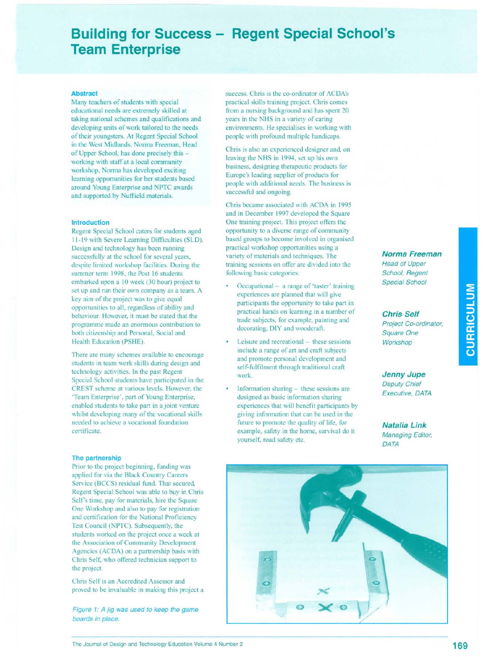# **Building for Success Regent Special School's Team Enterprise**

### **Abstract**

Many teachers of students with special educational needs are extremely skilled at taking national schemes and qualifications and developing units of work tailored to the needs of their youngsters. At Regent Special School in the West Midlands, Norma Freeman, Head of Upper School, has done precisely this working with staff at a local community workshop, Norma has developed exciting learning opportunities for her students based around Young Enterprise and NPTC awards and supported by Nuffield materials.

#### **Introduction**

Regent Special School caters for students aged 11-19 with Severe Learning Difficulties (SLD). Design and technology has been running successfully at the school for several years, despite limited workshop facilities. During the summer term 1998, the Post 16 students embarked upon a 10 week (30 hour) project to set up and run their own company as a team. A key aim of the project was to give equal opportunities to all, regardless of ability and behaviour. However, it must be stated that the programme made an enormous contribution to both citizenship and Personal, Social and Health Education (PSHE).

There are many schemes available to encourage students in team work skills during design and technology activities. In the past Regent Special School students have participated in the CREST scheme at various levels. However, the 'Team Enterprise', part of Young Enterprise, enabled students to take part in a joint venture whilst developing many of the vocational skills needed to achieve a vocational foundation certificate.

#### **The partnership**

Prior to the project beginning, funding was applied for via the Black Country Careers Service (BCCS) residual fund. That secured, Regent Special School was able to buy in Chris Self's time, pay for materials, hire the Square One Workshop and also to pay for registration and certification for the National Proficiency Test Council (NPTC). Subsequently, the students worked on the project once a week at the Association of Community Development Agencies (ACDA) on a partnership basis with Chris Self, who offered technician support to the project.

Chris Self is an Accredited Assessor and proved to be invaluable in making this project a

*Figure* 1: A *jig was used to keep the game boards in place.*

success. Chris is the co-ordinator of ACDA's practical skills training project. Chris comes from a nursing background and has spent 20 years in the NHS in a variety of caring environments. He specialises in working with people with profound multiple handicaps.

Chris is also an experienced designer and, on leaving the NHS in 1994, set up his own business, designing therapeutic products for Europe's leading supplier of products for people with additional needs. The business is successful and ongoing.

Chris became associated with ACDA in 1995 and in December 1997 developed the Square One training project. This project offers the opportunity to a diverse range of community based groups to become involved in organised practical workshop opportunities using a variety of materials and techniques. The training sessions on offer are divided into the following basic categories:

- Occupational a range of 'taster' training experiences are planned that will give participants the opportunity to take part in practical hands on learning in a number of trade subjects, for example, painting and decorating, DIY and woodcraft.
- Leisure and recreational these sessions include a range of art and craft subjects and promote personal development and self-fulfilment through traditional craft work.
- Information sharing these sessions are designed as basic information sharing experiences that will benefit participants by giving information that can be used in the future to promote the quality of life, for example, safety in the home, survival do it yourself, road safety etc.



*Head of Upper School, Regent Special School*

# *Chris Self Project Co-ordinator,*

*Square One Workshop*

*Jenny Jupe Deputy Chief Executive, DATA*

*Natalia Link Managing Editor, DATA*



**CURRICULUM**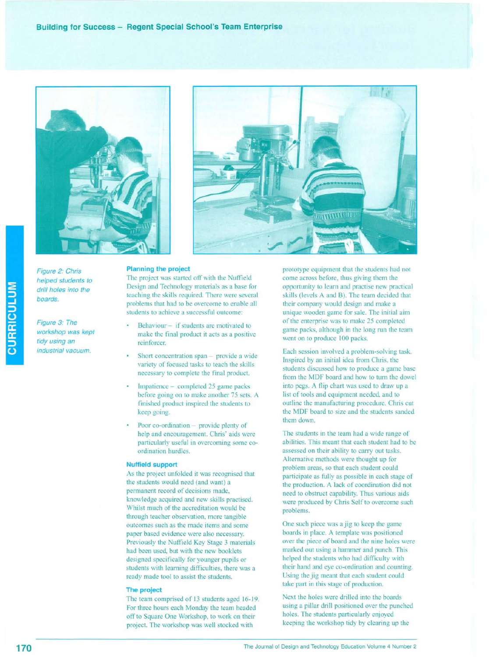



*Figure* 2: *Chris helped students to drill holes into the boards.*

*Figure* 3: *The workshop was kept tidy using an industrial vacuum.*

## **Planning the project**

The project was started off with the Nuffield Design and Technology materials as a base for teaching the skills required. There were several problems that had to be overcome to enable all students to achieve a successful outcome:

- Behaviour if students are motivated to make the final product it acts as a positive reinforcer.
- Short concentration span provide a wide variety of focused tasks to teach the skills necessary to complete the final product.
- Impatience completed 25 game packs before going on to make another 75 sets. A finished product inspired the students to keep going.
- Poor co-ordination provide plenty of help and encouragement. Chris' aids were particularly useful in overcoming some coordination hurdles.

#### **Nuffield support**

As the project unfolded it was recognised that the students would need (and want) a permanent record of decisions made, knowledge acquired and new skills practised. Whilst much of the accreditation would be through teacher observation, more tangible outcomes such as the made items and some paper based evidence were also necessary. Previously the Nuffield Key Stage 3 materials had been used, but with the new booklets designed specifically for younger pupils or students with learning difficulties, there was a ready made tool to assist the students.

# **The project**

The team comprised of 13 students aged 16-19. For three hours each Monday the team headed off to Square One Workshop, to work on their project. The workshop was well stocked with

prototype equipment that the students had not come across before, thus giving them the opportunity to learn and practise new practical skills (levels A and B). The team decided that their company would design and make a unique wooden game for sale. The initial aim of the enterprise was to make 25 completed game packs, although in the long run the team went on to produce 100 packs.

Each session involved a problem-solving task. Inspired by an initial idea from Chris, the students discussed how to produce a game base from the MDF board and how to turn the dowel into pegs. A flip chart was used to draw up a list of tools and equipment needed, and to outline the manufacturing procedure. Chris cut the MDF board to size and the students sanded them down.

The students in the team had a wide range of abilities. This meant that each student had to be assessed on their ability to carry out tasks. Alternative methods were thought up for problem areas, so that each student could participate as fully as possible in each stage of the production. A lack of coordination did not need to obstruct capability. Thus various aids were produced by Chris Self to overcome such problems.

One such piece was a jig to keep the game boards in place. A template was positioned over the piece of board and the nine holes were marked out using a hammer and punch. This helped the students who had difficulty with their hand and eye co-ordination and counting. Using the jig meant that each student could take part in this stage of production.

Next the holes were drilled into the boards using a pillar drill positioned over the punched holes. The students particularly enjoyed keeping the workshop tidy by clearing up the

170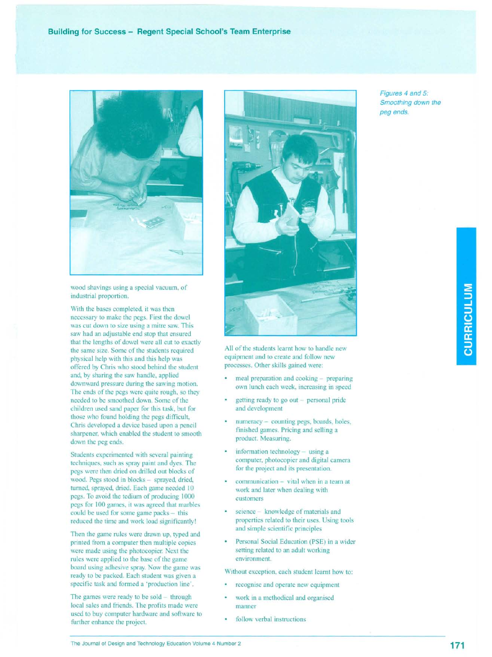

wood shavings using a special vacuum, of industrial proportion.

With the bases completed, it was then necessary to make the pegs. First the dowel was cut down to size using a mitre saw. This saw had an adjustable end stop that ensured that the lengths of dowel were all cut to exactly the same size. Some of the students required physical help with this and this help was offered by Chris who stood behind the student and, by sharing the saw handle, applied downward pressure during the sawing motion. The ends of the pegs were quite rough, so they needed to be smoothed down. Some of the children used sand paper for this task, but for those who found holding the pegs difficult, Chris developed a device based upon a pencil sharpener, which enabled the student to smooth down the peg ends.

Students experimented with several painting techniques, such as spray paint and dyes. The pegs were then dried on drilled out blocks of wood. Pegs stood in blocks - sprayed, dried, turned, sprayed, dried. Each game needed 10 pegs. To avoid the tedium of producing 1000 pegs for 100 games, it was agreed that marbles could be used for some game packs - this reduced the time and work load significantly!

Then the game rules were drawn up, typed and printed from a computer then multiple copies were made using the photocopier. Next the rules were applied to the base of the game board using adhesive spray. Now the game was ready to be packed. Each student was given a specific task and formed a 'production line'.

The games were ready to be  $s$ old  $-$  through local sales and friends. The profits made were used to buy computer hardware and software to further enhance the project.



All of the students learnt how to handle new equipment and to create and follow new processes. Other skills gained were:

- meal preparation and cooking preparing own lunch each week, increasing in speed
- getting ready to go out  $-$  personal pride and development
- numeracy counting pegs, boards, holes, finished games. Pricing and selling a product. Measuring.
- information technology using a computer, photocopier and digital camera for the project and its presentation.
- communication vital when in a team at work and later when dealing with customers
- science knowledge of materials and properties related to their uses. Using tools and simple scientific principles
- Personal Social Education (PSE) in a wider setting related to an adult working environment.

Without exception, each student learnt how to:

- recognise and operate new equipment
- work in a methodical and organised manner
- follow verbal instructions

*Figures* 4 *and 5: Smoothing down the peg ends.*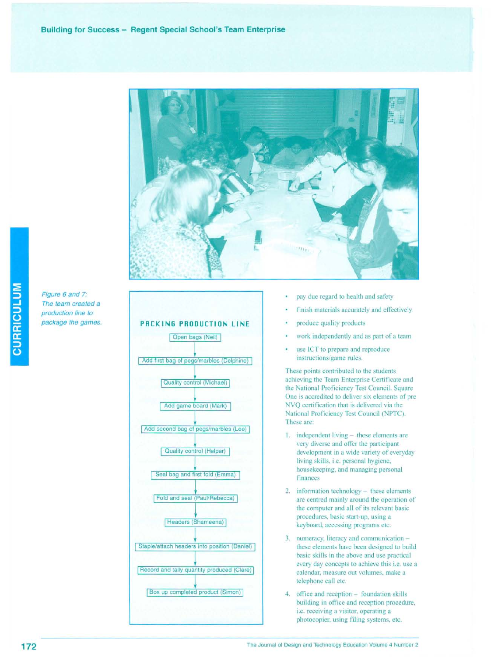

*Figure* 6 *and 7: The team created* a *production line to*

CURRICULUM



- pay due regard to health and safety
- finish materials accurately and effectively
- 
- work independently and as part of a team
- use ICT to prepare and reproduce instructions/game rules.

These points contributed to the students achieving the Team Enterprise Certificate and the National Proficiency Test Council. Square One is accredited to deliver six elements of pre NVQ certification that is delivered via the National Proficiency Test Council (NPTC). These are:

- 1. independent living these elements are very diverse and offer the participant development in a wide variety of everyday living skills, i.e. personal hygiene, housekeeping, and managing personal finances
- 2. information technology these elements are centred mainly around the operation of the computer and all of its relevant basic procedures, basic start-up, using a keyboard, accessing programs etc.
- 3. numeracy, literacy and communicationthese elements have been designed to build basic skills in the above and use practical every day concepts to achieve this i.e. use a calendar, measure out volumes, make a telephone call etc.
- 4. office and reception foundation skills building in office and reception procedure, i.e. receiving a visitor, operating a photocopier, using filing systems, etc.